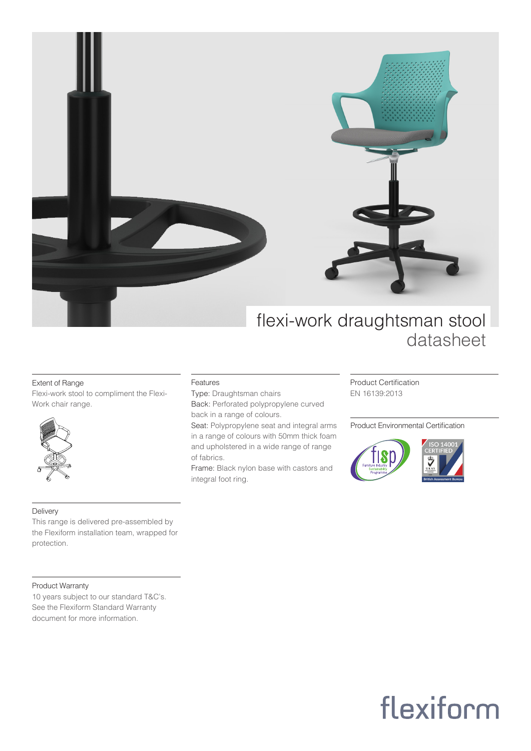

### Extent of Range

Flexi-work stool to compliment the Flexi-Work chair range.



### Delivery

This range is delivered pre-assembled by the Flexiform installation team, wrapped for protection.

### Product Warranty

10 years subject to our standard T&C's. See the Flexiform Standard Warranty document for more information.

#### Features

Type: Draughtsman chairs Back: Perforated polypropylene curved back in a range of colours.

Seat: Polypropylene seat and integral arms in a range of colours with 50mm thick foam and upholstered in a wide range of range of fabrics.

Frame: Black nylon base with castors and integral foot ring.

Product Certification EN 16139:2013

Product Environmental Certification



# flexiform